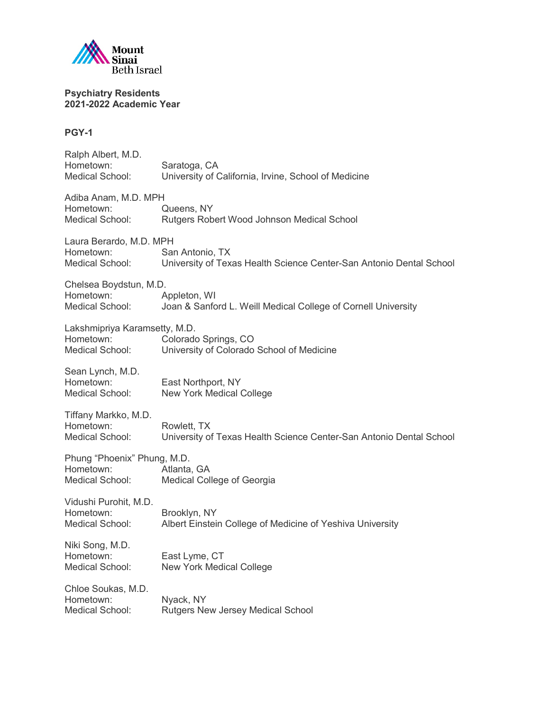

# **PGY-1**

| Ralph Albert, M.D.<br>Hometown:<br>Medical School:            | Saratoga, CA<br>University of California, Irvine, School of Medicine                   |
|---------------------------------------------------------------|----------------------------------------------------------------------------------------|
| Adiba Anam, M.D. MPH<br>Hometown:<br>Medical School:          | Queens, NY<br>Rutgers Robert Wood Johnson Medical School                               |
| Laura Berardo, M.D. MPH<br>Hometown:<br>Medical School:       | San Antonio, TX<br>University of Texas Health Science Center-San Antonio Dental School |
| Chelsea Boydstun, M.D.<br>Hometown:<br>Medical School:        | Appleton, WI<br>Joan & Sanford L. Weill Medical College of Cornell University          |
| Lakshmipriya Karamsetty, M.D.<br>Hometown:<br>Medical School: | Colorado Springs, CO<br>University of Colorado School of Medicine                      |
| Sean Lynch, M.D.<br>Hometown:<br>Medical School:              | East Northport, NY<br>New York Medical College                                         |
| Tiffany Markko, M.D.<br>Hometown:<br>Medical School:          | Rowlett, TX<br>University of Texas Health Science Center-San Antonio Dental School     |
| Phung "Phoenix" Phung, M.D.<br>Hometown:<br>Medical School:   | Atlanta, GA<br>Medical College of Georgia                                              |
| Vidushi Purohit, M.D.<br>Hometown:<br>Medical School:         | Brooklyn, NY<br>Albert Einstein College of Medicine of Yeshiva University              |
| Niki Song, M.D.<br>Hometown:<br>Medical School:               | East Lyme, CT<br><b>New York Medical College</b>                                       |
| Chloe Soukas, M.D.<br>Hometown:<br>Medical School:            | Nyack, NY<br><b>Rutgers New Jersey Medical School</b>                                  |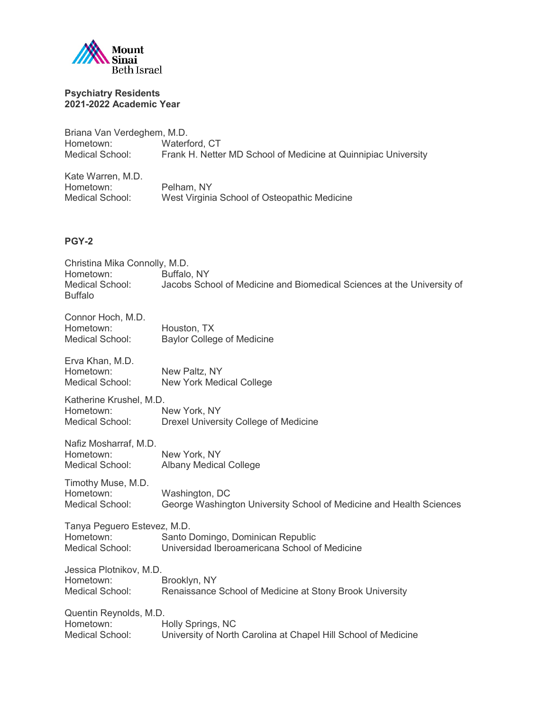

| Briana Van Verdeghem, M.D. |                                                                |
|----------------------------|----------------------------------------------------------------|
| Hometown:                  | Waterford, CT                                                  |
| Medical School:            | Frank H. Netter MD School of Medicine at Quinnipiac University |
| Kate Warren, M.D.          |                                                                |
| Hometown:                  | Pelham, NY                                                     |
| Medical School:            | West Virginia School of Osteopathic Medicine                   |

# **PGY-2**

| Christina Mika Connolly, M.D.<br>Buffalo, NY                                                                      |
|-------------------------------------------------------------------------------------------------------------------|
| Jacobs School of Medicine and Biomedical Sciences at the University of                                            |
| Houston, TX<br><b>Baylor College of Medicine</b>                                                                  |
| New Paltz, NY<br><b>New York Medical College</b>                                                                  |
| New York, NY<br>Drexel University College of Medicine                                                             |
| New York, NY<br><b>Albany Medical College</b>                                                                     |
| Washington, DC<br>George Washington University School of Medicine and Health Sciences                             |
| Tanya Peguero Estevez, M.D.<br>Santo Domingo, Dominican Republic<br>Universidad Iberoamericana School of Medicine |
| Brooklyn, NY<br>Renaissance School of Medicine at Stony Brook University                                          |
| Holly Springs, NC<br>University of North Carolina at Chapel Hill School of Medicine                               |
|                                                                                                                   |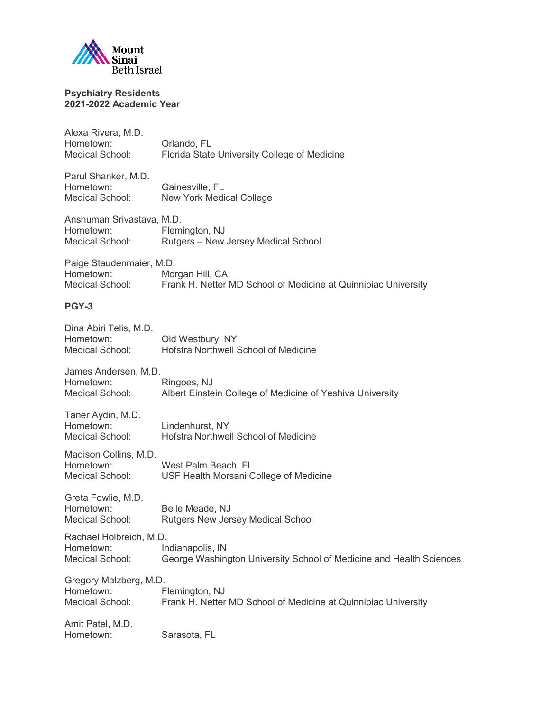

| Alexa Rivera, M.D.<br>Hometown:<br><b>Medical School:</b>        | Orlando, FL<br>Florida State University College of Medicine                             |
|------------------------------------------------------------------|-----------------------------------------------------------------------------------------|
| Parul Shanker, M.D.<br>Hometown:<br><b>Medical School:</b>       | Gainesville, FL<br>New York Medical College                                             |
| Anshuman Srivastava, M.D.<br>Hometown:<br><b>Medical School:</b> | Flemington, NJ<br>Rutgers - New Jersey Medical School                                   |
| Paige Staudenmaier, M.D.<br>Hometown:<br>Medical School:         | Morgan Hill, CA<br>Frank H. Netter MD School of Medicine at Quinnipiac University       |
| PGY-3                                                            |                                                                                         |
| Dina Abiri Telis, M.D.<br>Hometown:<br>Medical School:           | Old Westbury, NY<br>Hofstra Northwell School of Medicine                                |
| James Andersen, M.D.<br>Hometown:<br><b>Medical School:</b>      | Ringoes, NJ<br>Albert Einstein College of Medicine of Yeshiva University                |
| Taner Aydin, M.D.<br>Hometown:<br>Medical School:                | Lindenhurst, NY<br>Hofstra Northwell School of Medicine                                 |
| Madison Collins, M.D.<br>Hometown:<br><b>Medical School:</b>     | West Palm Beach, FL<br>USF Health Morsani College of Medicine                           |
| Greta Fowlie, M.D.<br>Hometown:<br><b>Medical School:</b>        | Belle Meade, NJ<br><b>Rutgers New Jersey Medical School</b>                             |
| Rachael Holbreich, M.D.<br>Hometown:<br>Medical School:          | Indianapolis, IN<br>George Washington University School of Medicine and Health Sciences |
| Gregory Malzberg, M.D.<br>Hometown:<br><b>Medical School:</b>    | Flemington, NJ<br>Frank H. Netter MD School of Medicine at Quinnipiac University        |
| Amit Patel, M.D.<br>Hometown:                                    | Sarasota, FL                                                                            |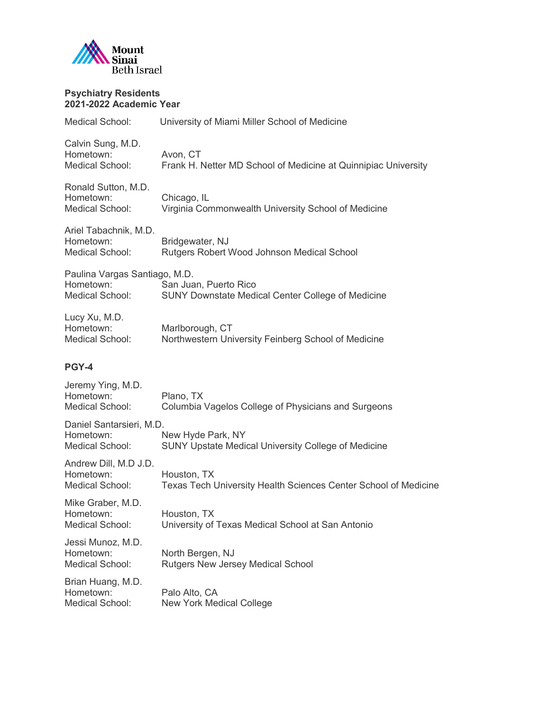

| <b>Medical School:</b>                                          | University of Miami Miller School of Medicine                                     |
|-----------------------------------------------------------------|-----------------------------------------------------------------------------------|
| Calvin Sung, M.D.<br>Hometown:<br><b>Medical School:</b>        | Avon, CT<br>Frank H. Netter MD School of Medicine at Quinnipiac University        |
| Ronald Sutton, M.D.<br>Hometown:<br><b>Medical School:</b>      | Chicago, IL<br>Virginia Commonwealth University School of Medicine                |
| Ariel Tabachnik, M.D.<br>Hometown:<br><b>Medical School:</b>    | Bridgewater, NJ<br>Rutgers Robert Wood Johnson Medical School                     |
| Paulina Vargas Santiago, M.D.<br>Hometown:<br>Medical School:   | San Juan, Puerto Rico<br><b>SUNY Downstate Medical Center College of Medicine</b> |
| Lucy Xu, M.D.<br>Hometown:<br>Medical School:                   | Marlborough, CT<br>Northwestern University Feinberg School of Medicine            |
| PGY-4                                                           |                                                                                   |
| Jeremy Ying, M.D.<br>Hometown:<br><b>Medical School:</b>        | Plano, TX<br>Columbia Vagelos College of Physicians and Surgeons                  |
| Daniel Santarsieri, M.D.<br>Hometown:<br><b>Medical School:</b> | New Hyde Park, NY<br><b>SUNY Upstate Medical University College of Medicine</b>   |
| Andrew Dill, M.D J.D.<br>Hometown:<br>Medical School:           | Houston, TX<br>Texas Tech University Health Sciences Center School of Medicine    |
| Mike Graber, M.D.<br>Hometown:<br>Medical School:               | Houston, TX<br>University of Texas Medical School at San Antonio                  |
| Jessi Munoz, M.D.<br>Hometown:<br>Medical School:               | North Bergen, NJ<br><b>Rutgers New Jersey Medical School</b>                      |
| Brian Huang, M.D.                                               |                                                                                   |

Hometown: Palo Alto, CA Medical School: New York Medical College